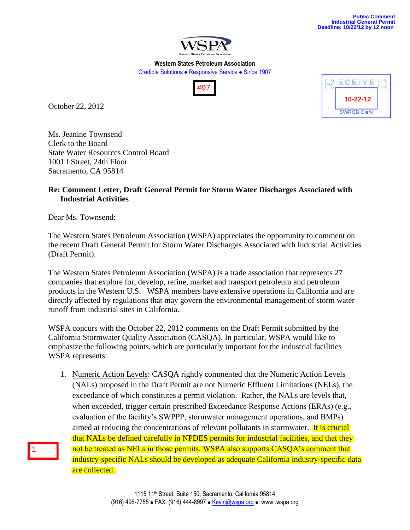

**Western States Petroleum Association** Credible Solutions • Responsive Service • Since 1907



October 22, 2012



Ms. Jeanine Townsend Clerk to the Board State Water Resources Control Board 1001 I Street, 24th Floor Sacramento, CA 95814

## **Re: Comment Letter, Draft General Permit for Storm Water Discharges Associated with Industrial Activities**

Dear Ms. Townsend:

1

The Western States Petroleum Association (WSPA) appreciates the opportunity to comment on the recent Draft General Permit for Storm Water Discharges Associated with Industrial Activities (Draft Permit).

The Western States Petroleum Association (WSPA) is a trade association that represents 27 companies that explore for, develop, refine, market and transport petroleum and petroleum products in the Western U.S. WSPA members have extensive operations in California and are directly affected by regulations that may govern the environmental management of storm water runoff from industrial sites in California.

WSPA concurs with the October 22, 2012 comments on the Draft Permit submitted by the California Stormwater Quality Association (CASQA). In particular, WSPA would like to emphasize the following points, which are particularly important for the industrial facilities WSPA represents:

1. Numeric Action Levels: CASQA rightly commented that the Numeric Action Levels (NALs) proposed in the Draft Permit are not Numeric Effluent Limitations (NELs), the exceedance of which constitutes a permit violation. Rather, the NALs are levels that, when exceeded, trigger certain prescribed Exceedance Response Actions (ERAs) (e.g., evaluation of the facility's SWPPP, stormwater management operations, and BMPs) aimed at reducing the concentrations of relevant pollutants in stormwater. It is crucial that NALs be defined carefully in NPDES permits for industrial facilities, and that they not be treated as NELs in those permits. WSPA also supports CASQA's comment that industry-specific NALs should be developed as adequate California industry-specific data are collected.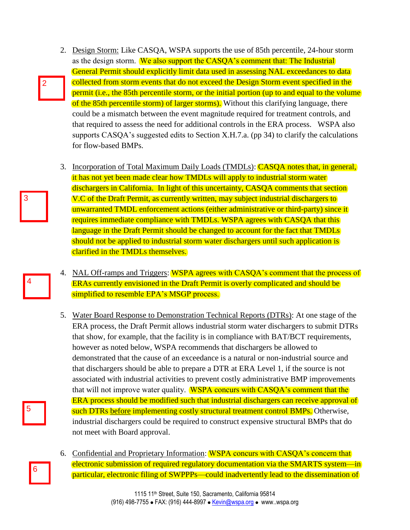- 2. Design Storm: Like CASQA, WSPA supports the use of 85th percentile, 24-hour storm as the design storm. We also support the CASQA's comment that: The Industrial General Permit should explicitly limit data used in assessing NAL exceedances to data collected from storm events that do not exceed the Design Storm event specified in the permit (i.e., the 85th percentile storm, or the initial portion (up to and equal to the volume of the 85th percentile storm) of larger storms). Without this clarifying language, there could be a mismatch between the event magnitude required for treatment controls, and that required to assess the need for additional controls in the ERA process. WSPA also supports CASQA's suggested edits to Section X.H.7.a. (pp 34) to clarify the calculations for flow-based BMPs.
- 3. Incorporation of Total Maximum Daily Loads (TMDLs): **CASQA** notes that, in general, it has not yet been made clear how TMDLs will apply to industrial storm water dischargers in California. In light of this uncertainty, CASQA comments that section V.C of the Draft Permit, as currently written, may subject industrial dischargers to unwarranted TMDL enforcement actions (either administrative or third-party) since it requires immediate compliance with TMDLs. WSPA agrees with CASQA that this language in the Draft Permit should be changed to account for the fact that TMDLs should not be applied to industrial storm water dischargers until such application is clarified in the TMDLs themselves.
- 4. NAL Off-ramps and Triggers: WSPA agrees with CASQA's comment that the process of ERAs currently envisioned in the Draft Permit is overly complicated and should be simplified to resemble EPA's MSGP process.
- 5. Water Board Response to Demonstration Technical Reports (DTRs): At one stage of the ERA process, the Draft Permit allows industrial storm water dischargers to submit DTRs that show, for example, that the facility is in compliance with BAT/BCT requirements, however as noted below, WSPA recommends that dischargers be allowed to demonstrated that the cause of an exceedance is a natural or non-industrial source and that dischargers should be able to prepare a DTR at ERA Level 1, if the source is not associated with industrial activities to prevent costly administrative BMP improvements that will not improve water quality. WSPA concurs with CASQA's comment that the ERA process should be modified such that industrial dischargers can receive approval of such DTRs before implementing costly structural treatment control BMPs. Otherwise, industrial dischargers could be required to construct expensive structural BMPs that do not meet with Board approval.
- 6. Confidential and Proprietary Information: WSPA concurs with CASQA's concern that electronic submission of required regulatory documentation via the SMARTS system—in particular, electronic filing of SWPPPs—could inadvertently lead to the dissemination of

5

6

2

3

4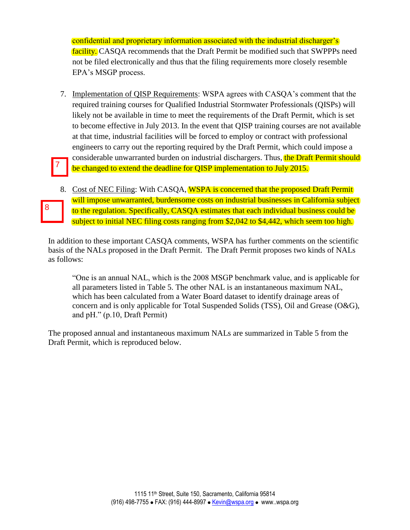confidential and proprietary information associated with the industrial discharger's facility. CASQA recommends that the Draft Permit be modified such that SWPPPs need not be filed electronically and thus that the filing requirements more closely resemble EPA's MSGP process.

- 7. Implementation of QISP Requirements: WSPA agrees with CASQA's comment that the required training courses for Qualified Industrial Stormwater Professionals (QISPs) will likely not be available in time to meet the requirements of the Draft Permit, which is set to become effective in July 2013. In the event that QISP training courses are not available at that time, industrial facilities will be forced to employ or contract with professional engineers to carry out the reporting required by the Draft Permit, which could impose a considerable unwarranted burden on industrial dischargers. Thus, the Draft Permit should be changed to extend the deadline for QISP implementation to July 2015. 7
- 8. Cost of NEC Filing: With CASQA, WSPA is concerned that the proposed Draft Permit will impose unwarranted, burdensome costs on industrial businesses in California subject to the regulation. Specifically, CASQA estimates that each individual business could be subject to initial NEC filing costs ranging from \$2,042 to \$4,442, which seem too high.

8

In addition to these important CASQA comments, WSPA has further comments on the scientific basis of the NALs proposed in the Draft Permit. The Draft Permit proposes two kinds of NALs as follows:

"One is an annual NAL, which is the 2008 MSGP benchmark value, and is applicable for all parameters listed in Table 5. The other NAL is an instantaneous maximum NAL, which has been calculated from a Water Board dataset to identify drainage areas of concern and is only applicable for Total Suspended Solids (TSS), Oil and Grease (O&G), and pH." (p.10, Draft Permit)

The proposed annual and instantaneous maximum NALs are summarized in Table 5 from the Draft Permit, which is reproduced below.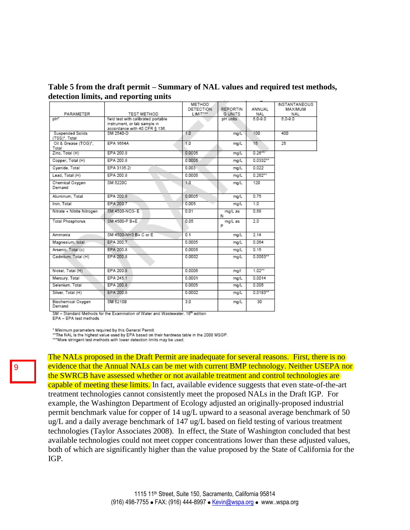**Table 5 from the draft permit – Summary of NAL values and required test methods, detection limits, and reporting units**

|                                                |                                                                     | METHOD<br><b>DETECTION</b> | <b>REPORTIN</b> | ANNUAL      | INSTANTANEOUS<br>MAXIMUM |
|------------------------------------------------|---------------------------------------------------------------------|----------------------------|-----------------|-------------|--------------------------|
| PARAMETER                                      | TEST METHOD                                                         | LIMIT <sup>xxx</sup>       | G UNITS         | NAL         | NAL                      |
| $DH^*$                                         | field test with calibrated portable<br>instrument, or lab sample in |                            | pH units        | $6.0 - 9.0$ | $6.0 - 9.0$              |
|                                                | accordance with 40 CFR § 136.                                       |                            |                 |             |                          |
| Suspended Solids<br>(TSS) <sup>x</sup> , Total | SM 2540-D                                                           | 1.0                        | mg/L            | 100         | 400                      |
| Oil & Grease (TOG)*.                           | EPA 1664A                                                           | 1.0                        | ma/L            | 15          | 25                       |
| Total<br>Zinc, Total (H)                       | EPA 200.8                                                           | 0.0005                     | mg/L            | $0.26***$   |                          |
| Copper, Total (H)                              | EPA 200.8                                                           | 0.0005                     | mg/L            | $0.0332**$  |                          |
| Cyanide, Total                                 | EPA 3135.21                                                         | 0.003                      | mg/L            | 0.022       |                          |
| Lead, Total (H)                                | EPA 200.8                                                           | 0.0005                     | ma/L            | $0.262**$   |                          |
| Chemical Oxygen<br>Demand                      | SM 5220C                                                            | 1.0                        | mg/L            | 120         |                          |
| Aluminum, Total                                | EPA 200.8                                                           | 0.0005                     | mg/L            | 0.75        |                          |
| Iron, Total                                    | EPA 200.7                                                           | 0.005                      | ma/L            | 1.0         |                          |
| Nitrate + Nitrite Nitrogen                     | SM 4500-NO3-E                                                       | 0.01                       | mg/L as<br>N    | 0.68        |                          |
| <b>Total Phosphorus</b>                        | SM 4500-P B+E                                                       | 0.05                       | mg/L as<br>P    | 2.0         |                          |
| Ammonia                                        | SM 4500-NH3 B+ C or E                                               | 0.1                        | mg/L            | 2.14        |                          |
| Magnesium, total                               | EPA 200.7                                                           | 0.0005                     | mg/L            | 0.064       |                          |
| Arsenic, Total (c)                             | EPA 200.8                                                           | 0.0005                     | mg/L            | 0.15        |                          |
| Cadmium, Total (H)                             | EPA 200.8                                                           | 0.0002                     | mg/L            | $0.0053**$  |                          |
| Nickel, Total (H)                              | EPA 200.8                                                           | 0.0005                     | mg/l            | $1.02**$    |                          |
| Mercury, Total                                 | EPA 245.1                                                           | 0.0001                     | mg/L            | 0.0014      |                          |
| Selenium, Total                                | EPA 200.8                                                           | 0.0005                     | mg/L            | 0.005       |                          |
| Silver, Total (H)                              | EPA 200.8                                                           | 0.0002                     | mg/L            | $0.0183**$  |                          |
| Biochemical Oxygen<br>Demand                   | SM 5210B                                                            | 3.0                        | mg/L            | 30          |                          |

SM - Standard Methods for the Examination of Water and Wastewater, 18<sup>th</sup> edition

EPA - EPA test methods

\* Minimum parameters required by this General Permit

"The NAL is the highest value used by EPA based on their hardness table in the 2008 MSGP.

"More stringent test methods with lower detection limits may be used.

The NALs proposed in the Draft Permit are inadequate for several reasons. First, there is no evidence that the Annual NALs can be met with current BMP technology. Neither USEPA nor the SWRCB have assessed whether or not available treatment and control technologies are capable of meeting these limits. In fact, available evidence suggests that even state-of-the-art treatment technologies cannot consistently meet the proposed NALs in the Draft IGP. For example, the Washington Department of Ecology adjusted an originally-proposed industrial permit benchmark value for copper of 14 ug/L upward to a seasonal average benchmark of 50 ug/L and a daily average benchmark of 147 ug/L based on field testing of various treatment technologies (Taylor Associates 2008). In effect, the State of Washington concluded that best available technologies could not meet copper concentrations lower than these adjusted values, both of which are significantly higher than the value proposed by the State of California for the IGP.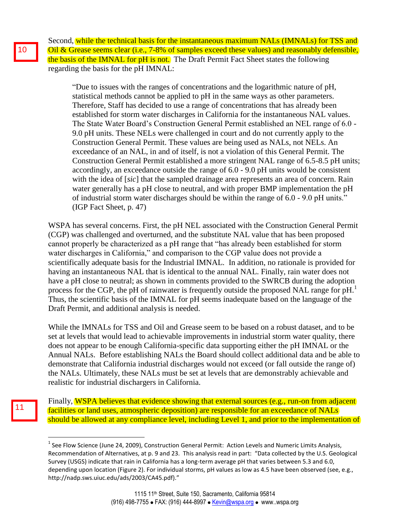Second, while the technical basis for the instantaneous maximum NALs (IMNALs) for TSS and Oil & Grease seems clear (i.e., 7-8% of samples exceed these values) and reasonably defensible, the basis of the IMNAL for pH is not. The Draft Permit Fact Sheet states the following regarding the basis for the pH IMNAL:

"Due to issues with the ranges of concentrations and the logarithmic nature of pH, statistical methods cannot be applied to pH in the same ways as other parameters. Therefore, Staff has decided to use a range of concentrations that has already been established for storm water discharges in California for the instantaneous NAL values. The State Water Board's Construction General Permit established an NEL range of 6.0 - 9.0 pH units. These NELs were challenged in court and do not currently apply to the Construction General Permit. These values are being used as NALs, not NELs. An exceedance of an NAL, in and of itself, is not a violation of this General Permit. The Construction General Permit established a more stringent NAL range of 6.5-8.5 pH units; accordingly, an exceedance outside the range of 6.0 - 9.0 pH units would be consistent with the idea of [*sic*] that the sampled drainage area represents an area of concern. Rain water generally has a pH close to neutral, and with proper BMP implementation the pH of industrial storm water discharges should be within the range of 6.0 - 9.0 pH units." (IGP Fact Sheet, p. 47)

WSPA has several concerns. First, the pH NEL associated with the Construction General Permit (CGP) was challenged and overturned, and the substitute NAL value that has been proposed cannot properly be characterized as a pH range that "has already been established for storm water discharges in California," and comparison to the CGP value does not provide a scientifically adequate basis for the Industrial IMNAL. In addition, no rationale is provided for having an instantaneous NAL that is identical to the annual NAL. Finally, rain water does not have a pH close to neutral; as shown in comments provided to the SWRCB during the adoption process for the CGP, the pH of rainwater is frequently outside the proposed NAL range for pH.<sup>1</sup> Thus, the scientific basis of the IMNAL for pH seems inadequate based on the language of the Draft Permit, and additional analysis is needed.

While the IMNALs for TSS and Oil and Grease seem to be based on a robust dataset, and to be set at levels that would lead to achievable improvements in industrial storm water quality, there does not appear to be enough California-specific data supporting either the pH IMNAL or the Annual NALs. Before establishing NALs the Board should collect additional data and be able to demonstrate that California industrial discharges would not exceed (or fall outside the range of) the NALs. Ultimately, these NALs must be set at levels that are demonstrably achievable and realistic for industrial dischargers in California.

Finally, WSPA believes that evidence showing that external sources (e.g., run-on from adjacent) facilities or land uses, atmospheric deposition) are responsible for an exceedance of NALs should be allowed at any compliance level, including Level 1, and prior to the implementation of

 $\overline{a}$ 

11

 $^{1}$  See Flow Science (June 24, 2009), Construction General Permit: Action Levels and Numeric Limits Analysis, Recommendation of Alternatives, at p. 9 and 23. This analysis read in part: "Data collected by the U.S. Geological Survey (USGS) indicate that rain in California has a long-term average pH that varies between 5.3 and 6.0, depending upon location (Figure 2). For individual storms, pH values as low as 4.5 have been observed (see, e.g., http://nadp.sws.uiuc.edu/ads/2003/CA45.pdf)."